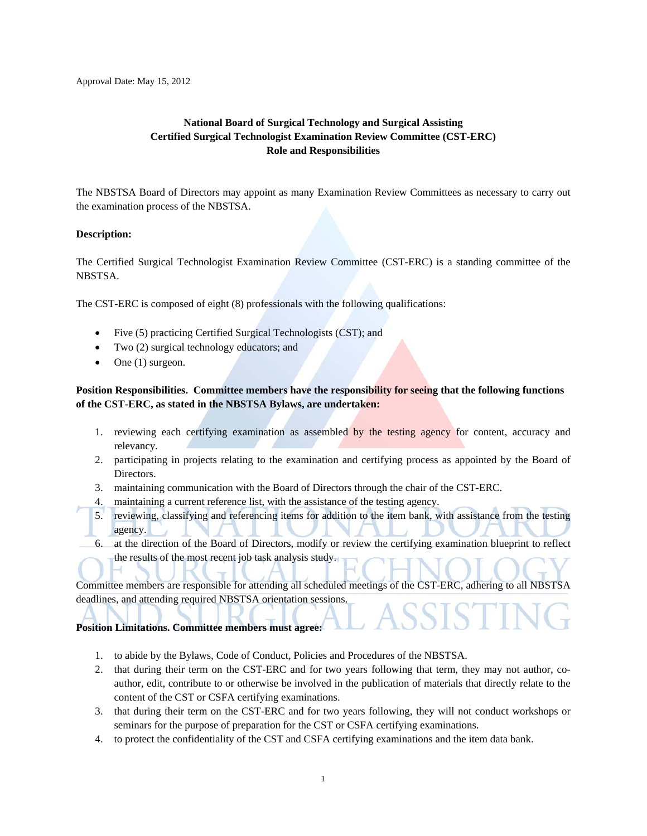Approval Date: May 15, 2012

## **National Board of Surgical Technology and Surgical Assisting Certified Surgical Technologist Examination Review Committee (CST-ERC) Role and Responsibilities**

The NBSTSA Board of Directors may appoint as many Examination Review Committees as necessary to carry out the examination process of the NBSTSA.

#### **Description:**

The Certified Surgical Technologist Examination Review Committee (CST-ERC) is a standing committee of the NBSTSA.

The CST-ERC is composed of eight (8) professionals with the following qualifications:

- Five (5) practicing Certified Surgical Technologists (CST); and
- Two (2) surgical technology educators; and
- $\bullet$  One (1) surgeon.

### **Position Responsibilities. Committee members have the responsibility for seeing that the following functions of the CST-ERC, as stated in the NBSTSA Bylaws, are undertaken:**

- 1. reviewing each certifying examination as assembled by the testing agency for content, accuracy and relevancy.
- 2. participating in projects relating to the examination and certifying process as appointed by the Board of Directors.
- 3. maintaining communication with the Board of Directors through the chair of the CST-ERC.
- 4. maintaining a current reference list, with the assistance of the testing agency.
- 5. reviewing, classifying and referencing items for addition to the item bank, with assistance from the testing agency.
- 6. at the direction of the Board of Directors, modify or review the certifying examination blueprint to reflect the results of the most recent job task analysis study.

Committee members are responsible for attending all scheduled meetings of the CST-ERC, adhering to all NBSTSA deadlines, and attending required NBSTSA orientation sessions.

#### **Position Limitations. Committee members must agree:**

- 1. to abide by the Bylaws, Code of Conduct, Policies and Procedures of the NBSTSA.
- 2. that during their term on the CST-ERC and for two years following that term, they may not author, coauthor, edit, contribute to or otherwise be involved in the publication of materials that directly relate to the content of the CST or CSFA certifying examinations.
- 3. that during their term on the CST-ERC and for two years following, they will not conduct workshops or seminars for the purpose of preparation for the CST or CSFA certifying examinations.
- 4. to protect the confidentiality of the CST and CSFA certifying examinations and the item data bank.